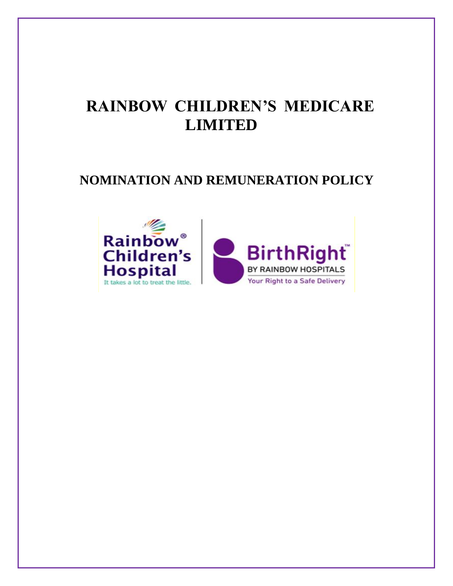# **RAINBOW CHILDREN'S MEDICARE LIMITED**

# **NOMINATION AND REMUNERATION POLICY**

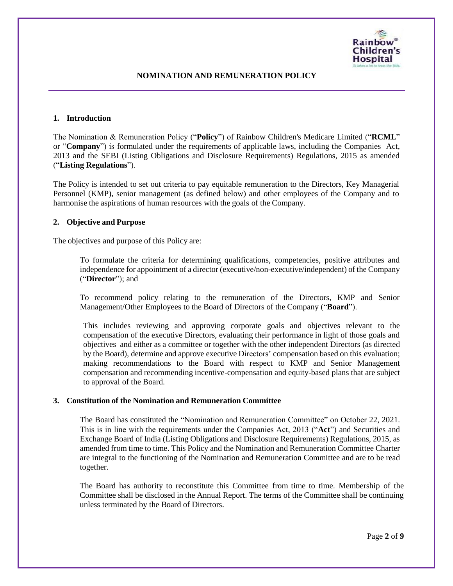

#### **1. Introduction**

The Nomination & Remuneration Policy ("**Policy**") of Rainbow Children's Medicare Limited ("**RCML**" or "**Company**") is formulated under the requirements of applicable laws, including the Companies Act, 2013 and the SEBI (Listing Obligations and Disclosure Requirements) Regulations, 2015 as amended ("**Listing Regulations**").

The Policy is intended to set out criteria to pay equitable remuneration to the Directors, Key Managerial Personnel (KMP), senior management (as defined below) and other employees of the Company and to harmonise the aspirations of human resources with the goals of the Company.

# **2. Objective and Purpose**

The objectives and purpose of this Policy are:

To formulate the criteria for determining qualifications, competencies, positive attributes and independence for appointment of a director (executive/non-executive/independent) of the Company ("**Director**"); and

To recommend policy relating to the remuneration of the Directors, KMP and Senior Management/Other Employees to the Board of Directors of the Company ("**Board**").

This includes reviewing and approving corporate goals and objectives relevant to the compensation of the executive Directors, evaluating their performance in light of those goals and objectives and either as a committee or together with the other independent Directors (as directed by the Board), determine and approve executive Directors' compensation based on this evaluation; making recommendations to the Board with respect to KMP and Senior Management compensation and recommending incentive-compensation and equity-based plans that are subject to approval of the Board.

# **3. Constitution of the Nomination and Remuneration Committee**

The Board has constituted the "Nomination and Remuneration Committee" on October 22, 2021. This is in line with the requirements under the Companies Act, 2013 ("**Act**") and Securities and Exchange Board of India (Listing Obligations and Disclosure Requirements) Regulations, 2015, as amended from time to time. This Policy and the Nomination and Remuneration Committee Charter are integral to the functioning of the Nomination and Remuneration Committee and are to be read together.

The Board has authority to reconstitute this Committee from time to time. Membership of the Committee shall be disclosed in the Annual Report. The terms of the Committee shall be continuing unless terminated by the Board of Directors.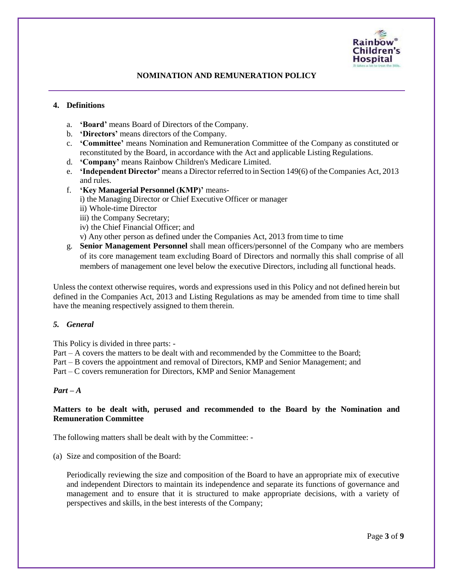

# **4. Definitions**

- a. **'Board'** means Board of Directors of the Company.
- b. **'Directors'** means directors of the Company.
- c. **'Committee'** means Nomination and Remuneration Committee of the Company as constituted or reconstituted by the Board, in accordance with the Act and applicable Listing Regulations.
- d. **'Company'** means Rainbow Children's Medicare Limited.
- e. **'Independent Director'** means a Director referred to in Section 149(6) of theCompanies Act, 2013 and rules.
- f. **'Key Managerial Personnel (KMP)'** means
	- i) the Managing Director or Chief Executive Officer or manager
	- ii) Whole-time Director
	- iii) the Company Secretary;
	- iv) the Chief Financial Officer; and
	- v) Any other person as defined under the Companies Act, 2013 from time to time
- g. **Senior Management Personnel** shall mean officers/personnel of the Company who are members of its core management team excluding Board of Directors and normally this shall comprise of all members of management one level below the executive Directors, including all functional heads.

Unless the context otherwise requires, words and expressions used in this Policy and not defined herein but defined in the Companies Act, 2013 and Listing Regulations as may be amended from time to time shall have the meaning respectively assigned to them therein.

#### *5. General*

This Policy is divided in three parts: -

Part – A covers the matters to be dealt with and recommended by the Committee to the Board;

Part – B covers the appointment and removal of Directors, KMP and Senior Management; and

Part – C covers remuneration for Directors, KMP and Senior Management

#### *Part – A*

# **Matters to be dealt with, perused and recommended to the Board by the Nomination and Remuneration Committee**

The following matters shall be dealt with by the Committee: -

(a) Size and composition of the Board:

Periodically reviewing the size and composition of the Board to have an appropriate mix of executive and independent Directors to maintain its independence and separate its functions of governance and management and to ensure that it is structured to make appropriate decisions, with a variety of perspectives and skills, in the best interests of the Company;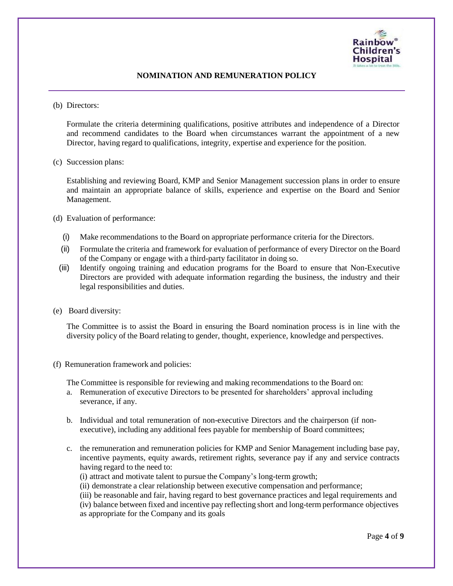

(b) Directors:

Formulate the criteria determining qualifications, positive attributes and independence of a Director and recommend candidates to the Board when circumstances warrant the appointment of a new Director, having regard to qualifications, integrity, expertise and experience for the position.

(c) Succession plans:

Establishing and reviewing Board, KMP and Senior Management succession plans in order to ensure and maintain an appropriate balance of skills, experience and expertise on the Board and Senior Management.

(d) Evaluation of performance:

- (i) Make recommendations to the Board on appropriate performance criteria for the Directors.
- (ii) Formulate the criteria and framework for evaluation of performance of every Director on the Board of the Company or engage with a third-party facilitator in doing so.
- (iii) Identify ongoing training and education programs for the Board to ensure that Non-Executive Directors are provided with adequate information regarding the business, the industry and their legal responsibilities and duties.
- (e) Board diversity:

The Committee is to assist the Board in ensuring the Board nomination process is in line with the diversity policy of the Board relating to gender, thought, experience, knowledge and perspectives.

(f) Remuneration framework and policies:

The Committee is responsible for reviewing and making recommendations to the Board on:

- a. Remuneration of executive Directors to be presented for shareholders' approval including severance, if any.
- b. Individual and total remuneration of non-executive Directors and the chairperson (if nonexecutive), including any additional fees payable for membership of Board committees;
- c. the remuneration and remuneration policies for KMP and Senior Management including base pay, incentive payments, equity awards, retirement rights, severance pay if any and service contracts having regard to the need to:
	- (i) attract and motivate talent to pursue the Company's long-term growth;
	- (ii) demonstrate a clear relationship between executive compensation and performance;

(iii) be reasonable and fair, having regard to best governance practices and legal requirements and (iv) balance between fixed and incentive pay reflecting short and long-term performance objectives as appropriate for the Company and its goals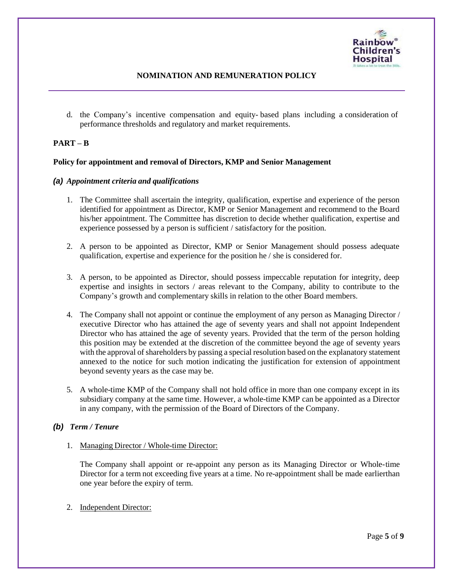

d. the Company's incentive compensation and equity- based plans including a consideration of performance thresholds and regulatory and market requirements.

# **PART – B**

#### **Policy for appointment and removal of Directors, KMP and Senior Management**

# *(a) Appointment criteria and qualifications*

- 1. The Committee shall ascertain the integrity, qualification, expertise and experience of the person identified for appointment as Director, KMP or Senior Management and recommend to the Board his/her appointment. The Committee has discretion to decide whether qualification, expertise and experience possessed by a person is sufficient / satisfactory for the position.
- 2. A person to be appointed as Director, KMP or Senior Management should possess adequate qualification, expertise and experience for the position he / she is considered for.
- 3. A person, to be appointed as Director, should possess impeccable reputation for integrity, deep expertise and insights in sectors / areas relevant to the Company, ability to contribute to the Company's growth and complementary skills in relation to the other Board members.
- 4. The Company shall not appoint or continue the employment of any person as Managing Director / executive Director who has attained the age of seventy years and shall not appoint Independent Director who has attained the age of seventy years. Provided that the term of the person holding this position may be extended at the discretion of the committee beyond the age of seventy years with the approval of shareholders by passing a special resolution based on the explanatory statement annexed to the notice for such motion indicating the justification for extension of appointment beyond seventy years as the case may be.
- 5. A whole-time KMP of the Company shall not hold office in more than one company except in its subsidiary company at the same time. However, a whole-time KMP can be appointed as a Director in any company, with the permission of the Board of Directors of the Company.

# *(b) Term / Tenure*

1. Managing Director / Whole-time Director:

The Company shall appoint or re-appoint any person as its Managing Director or Whole-time Director for a term not exceeding five years at a time. No re-appointment shall be made earlierthan one year before the expiry of term.

2. Independent Director: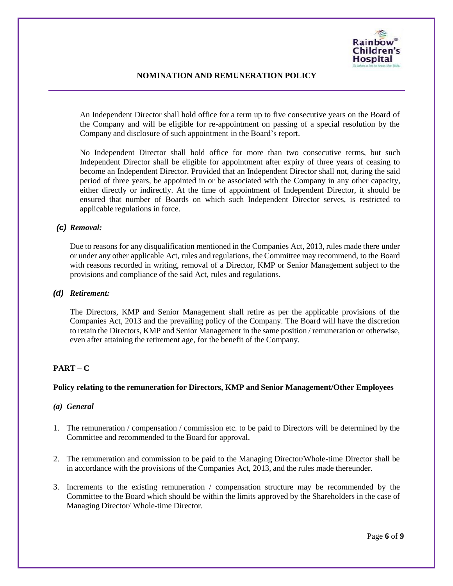

An Independent Director shall hold office for a term up to five consecutive years on the Board of the Company and will be eligible for re-appointment on passing of a special resolution by the Company and disclosure of such appointment in the Board's report.

No Independent Director shall hold office for more than two consecutive terms, but such Independent Director shall be eligible for appointment after expiry of three years of ceasing to become an Independent Director. Provided that an Independent Director shall not, during the said period of three years, be appointed in or be associated with the Company in any other capacity, either directly or indirectly. At the time of appointment of Independent Director, it should be ensured that number of Boards on which such Independent Director serves, is restricted to applicable regulations in force.

# *(c) Removal:*

Due to reasons for any disqualification mentioned in the Companies Act, 2013, rules made there under or under any other applicable Act, rules and regulations, the Committee may recommend, to the Board with reasons recorded in writing, removal of a Director, KMP or Senior Management subject to the provisions and compliance of the said Act, rules and regulations.

#### *(d) Retirement:*

The Directors, KMP and Senior Management shall retire as per the applicable provisions of the Companies Act, 2013 and the prevailing policy of the Company. The Board will have the discretion to retain the Directors, KMP and Senior Management in the same position / remuneration or otherwise, even after attaining the retirement age, for the benefit of the Company.

# **PART – C**

# **Policy relating to the remuneration for Directors, KMP and Senior Management/Other Employees**

#### *(a) General*

- 1. The remuneration / compensation / commission etc. to be paid to Directors will be determined by the Committee and recommended to the Board for approval.
- 2. The remuneration and commission to be paid to the Managing Director/Whole-time Director shall be in accordance with the provisions of the Companies Act, 2013, and the rules made thereunder.
- 3. Increments to the existing remuneration / compensation structure may be recommended by the Committee to the Board which should be within the limits approved by the Shareholders in the case of Managing Director/ Whole-time Director.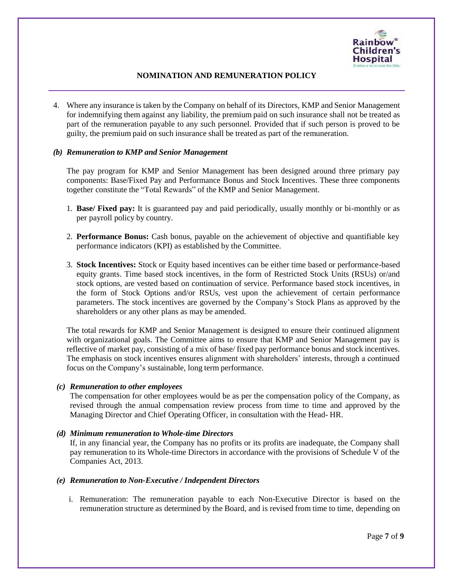

4. Where any insurance is taken by the Company on behalf of its Directors, KMP and Senior Management for indemnifying them against any liability, the premium paid on such insurance shall not be treated as part of the remuneration payable to any such personnel. Provided that if such person is proved to be guilty, the premium paid on such insurance shall be treated as part of the remuneration.

# *(b) Remuneration to KMP and Senior Management*

The pay program for KMP and Senior Management has been designed around three primary pay components: Base/Fixed Pay and Performance Bonus and Stock Incentives. These three components together constitute the "Total Rewards" of the KMP and Senior Management.

- 1. **Base/ Fixed pay:** It is guaranteed pay and paid periodically, usually monthly or bi-monthly or as per payroll policy by country.
- 2. **Performance Bonus:** Cash bonus, payable on the achievement of objective and quantifiable key performance indicators (KPI) as established by the Committee.
- 3. **Stock Incentives:** Stock or Equity based incentives can be either time based or performance-based equity grants. Time based stock incentives, in the form of Restricted Stock Units (RSUs) or/and stock options, are vested based on continuation of service. Performance based stock incentives, in the form of Stock Options and/or RSUs, vest upon the achievement of certain performance parameters. The stock incentives are governed by the Company's Stock Plans as approved by the shareholders or any other plans as may be amended.

The total rewards for KMP and Senior Management is designed to ensure their continued alignment with organizational goals. The Committee aims to ensure that KMP and Senior Management pay is reflective of market pay, consisting of a mix of base/ fixed pay performance bonus and stock incentives. The emphasis on stock incentives ensures alignment with shareholders' interests, through a continued focus on the Company's sustainable, long term performance.

#### *(c) Remuneration to other employees*

The compensation for other employees would be as per the compensation policy of the Company, as revised through the annual compensation review process from time to time and approved by the Managing Director and Chief Operating Officer, in consultation with the Head- HR.

#### *(d) Minimum remuneration to Whole-time Directors*

If, in any financial year, the Company has no profits or its profits are inadequate, the Company shall pay remuneration to its Whole-time Directors in accordance with the provisions of Schedule V of the Companies Act, 2013.

#### *(e) Remuneration to Non-Executive / Independent Directors*

i. Remuneration: The remuneration payable to each Non-Executive Director is based on the remuneration structure as determined by the Board, and is revised from time to time, depending on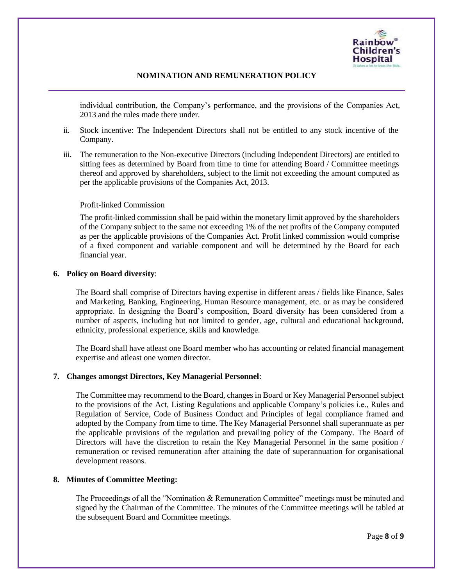

individual contribution, the Company's performance, and the provisions of the Companies Act, 2013 and the rules made there under.

- ii. Stock incentive: The Independent Directors shall not be entitled to any stock incentive of the Company.
- iii. The remuneration to the Non-executive Directors (including Independent Directors) are entitled to sitting fees as determined by Board from time to time for attending Board / Committee meetings thereof and approved by shareholders, subject to the limit not exceeding the amount computed as per the applicable provisions of the Companies Act, 2013.

#### Profit-linked Commission

The profit-linked commission shall be paid within the monetary limit approved by the shareholders of the Company subject to the same not exceeding 1% of the net profits of the Company computed as per the applicable provisions of the Companies Act. Profit linked commission would comprise of a fixed component and variable component and will be determined by the Board for each financial year.

#### **6. Policy on Board diversity**:

The Board shall comprise of Directors having expertise in different areas / fields like Finance, Sales and Marketing, Banking, Engineering, Human Resource management, etc. or as may be considered appropriate. In designing the Board's composition, Board diversity has been considered from a number of aspects, including but not limited to gender, age, cultural and educational background, ethnicity, professional experience, skills and knowledge.

The Board shall have atleast one Board member who has accounting or related financial management expertise and atleast one women director.

#### **7. Changes amongst Directors, Key Managerial Personnel**:

The Committee may recommend to the Board, changes in Board or Key Managerial Personnel subject to the provisions of the Act, Listing Regulations and applicable Company's policies i.e., Rules and Regulation of Service, Code of Business Conduct and Principles of legal compliance framed and adopted by the Company from time to time. The Key Managerial Personnel shall superannuate as per the applicable provisions of the regulation and prevailing policy of the Company. The Board of Directors will have the discretion to retain the Key Managerial Personnel in the same position / remuneration or revised remuneration after attaining the date of superannuation for organisational development reasons.

#### **8. Minutes of Committee Meeting:**

The Proceedings of all the "Nomination & Remuneration Committee" meetings must be minuted and signed by the Chairman of the Committee. The minutes of the Committee meetings will be tabled at the subsequent Board and Committee meetings.